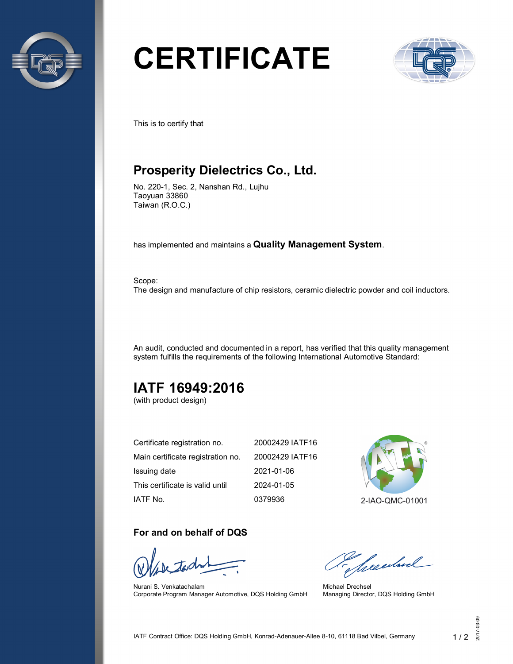

# **CERTIFICATE**



This is to certify that

## **Prosperity Dielectrics Co., Ltd.**

No. 220-1, Sec. 2, Nanshan Rd., Lujhu Taoyuan 33860 Taiwan (R.O.C.)

has implemented and maintains a **Quality Management System**.

Scope: The design and manufacture of chip resistors, ceramic dielectric powder and coil inductors.

An audit, conducted and documented in a report, has verified that this quality management system fulfills the requirements of the following International Automotive Standard:

## **IATF 16949:2016**

(with product design)

| Certificate registration no.      | 20002429 IATF16 |
|-----------------------------------|-----------------|
| Main certificate registration no. | 20002429 IATF16 |
| Issuing date                      | 2021-01-06      |
| This certificate is valid until   | 2024-01-05      |
| IATF No.                          | 0379936         |

#### **For and on behalf of DQS**

Nurani S. Venkatachalam Corporate Program Manager Automotive, DQS Holding GmbH



2-IAO-QMC-01001

Sheedwel

Michael Drechsel Managing Director, DQS Holding GmbH